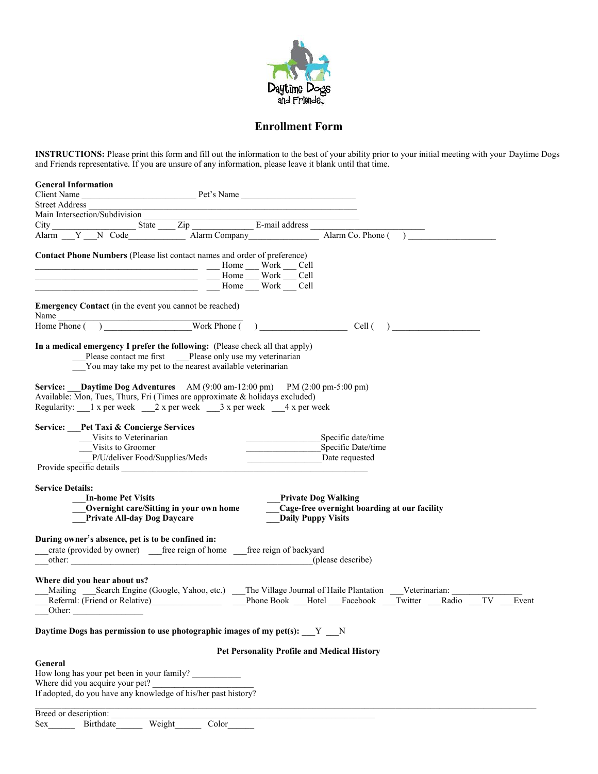

## **Enrollment Form**

**INSTRUCTIONS:** Please print this form and fill out the information to the best of your ability prior to your initial meeting with your Daytime Dogs and Friends representative. If you are unsure of any information, please leave it blank until that time.

| <b>General Information</b>                                                                                                                                                                                                                                                                                                                                                                                                                                                                                                                                                                                                                                          |                                                                                                                                                                                                                                                                                                                                                                                      |
|---------------------------------------------------------------------------------------------------------------------------------------------------------------------------------------------------------------------------------------------------------------------------------------------------------------------------------------------------------------------------------------------------------------------------------------------------------------------------------------------------------------------------------------------------------------------------------------------------------------------------------------------------------------------|--------------------------------------------------------------------------------------------------------------------------------------------------------------------------------------------------------------------------------------------------------------------------------------------------------------------------------------------------------------------------------------|
| Client Name Pet's Name                                                                                                                                                                                                                                                                                                                                                                                                                                                                                                                                                                                                                                              |                                                                                                                                                                                                                                                                                                                                                                                      |
| <b>Street Address</b><br>Main Intersection/Subdivision                                                                                                                                                                                                                                                                                                                                                                                                                                                                                                                                                                                                              |                                                                                                                                                                                                                                                                                                                                                                                      |
|                                                                                                                                                                                                                                                                                                                                                                                                                                                                                                                                                                                                                                                                     |                                                                                                                                                                                                                                                                                                                                                                                      |
|                                                                                                                                                                                                                                                                                                                                                                                                                                                                                                                                                                                                                                                                     | Alarm Co. Phone (                                                                                                                                                                                                                                                                                                                                                                    |
| <b>Contact Phone Numbers</b> (Please list contact names and order of preference)<br>More More More Cell<br>$\frac{1}{\sqrt{1-\frac{1}{2}}}\frac{1}{\sqrt{1-\frac{1}{2}}}\frac{1}{\sqrt{1-\frac{1}{2}}}\frac{1}{\sqrt{1-\frac{1}{2}}}\frac{1}{\sqrt{1-\frac{1}{2}}}\frac{1}{\sqrt{1-\frac{1}{2}}}\frac{1}{\sqrt{1-\frac{1}{2}}}\frac{1}{\sqrt{1-\frac{1}{2}}}\frac{1}{\sqrt{1-\frac{1}{2}}}\frac{1}{\sqrt{1-\frac{1}{2}}}\frac{1}{\sqrt{1-\frac{1}{2}}}\frac{1}{\sqrt{1-\frac{1}{2}}}\frac{1}{\sqrt{1-\frac{1}{2}}}\frac{1}{\sqrt{1-\frac{$<br><u> 1990 - Johann Barn, mars ann an t-Amhain an t-Amhain an t-Amhain an t-Amhain an t-Amhain an t-Amhain an t-Amh</u> | Home Work Cell                                                                                                                                                                                                                                                                                                                                                                       |
| <b>Emergency Contact</b> (in the event you cannot be reached)<br>Name                                                                                                                                                                                                                                                                                                                                                                                                                                                                                                                                                                                               |                                                                                                                                                                                                                                                                                                                                                                                      |
| Home Phone (                                                                                                                                                                                                                                                                                                                                                                                                                                                                                                                                                                                                                                                        | $\overline{O}$ $\overline{O}$ $\overline{O}$ $\overline{O}$ $\overline{O}$ $\overline{O}$ $\overline{O}$ $\overline{O}$ $\overline{O}$ $\overline{O}$ $\overline{O}$ $\overline{O}$ $\overline{O}$ $\overline{O}$ $\overline{O}$ $\overline{O}$ $\overline{O}$ $\overline{O}$ $\overline{O}$ $\overline{O}$ $\overline{O}$ $\overline{O}$ $\overline{O}$ $\overline{O}$ $\overline{$ |
| In a medical emergency I prefer the following: (Please check all that apply)<br>Please contact me first ___Please only use my veterinarian<br>You may take my pet to the nearest available veterinarian                                                                                                                                                                                                                                                                                                                                                                                                                                                             |                                                                                                                                                                                                                                                                                                                                                                                      |
| <b>Service:</b> Daytime Dog Adventures AM (9:00 am-12:00 pm) PM (2:00 pm-5:00 pm)<br>Available: Mon, Tues, Thurs, Fri (Times are approximate & holidays excluded)<br>Regularity: 1 x per week 2 x per week 3 x per week 4 x per week                                                                                                                                                                                                                                                                                                                                                                                                                                |                                                                                                                                                                                                                                                                                                                                                                                      |
| Service: Pet Taxi & Concierge Services                                                                                                                                                                                                                                                                                                                                                                                                                                                                                                                                                                                                                              |                                                                                                                                                                                                                                                                                                                                                                                      |
| Visits to Veterinarian                                                                                                                                                                                                                                                                                                                                                                                                                                                                                                                                                                                                                                              | Specific date/time                                                                                                                                                                                                                                                                                                                                                                   |
| Visits to Groomer                                                                                                                                                                                                                                                                                                                                                                                                                                                                                                                                                                                                                                                   | Specific Date/time                                                                                                                                                                                                                                                                                                                                                                   |
| P/U/deliver Food/Supplies/Meds                                                                                                                                                                                                                                                                                                                                                                                                                                                                                                                                                                                                                                      | Date requested                                                                                                                                                                                                                                                                                                                                                                       |
| Provide specific details <b>Secure 2018</b>                                                                                                                                                                                                                                                                                                                                                                                                                                                                                                                                                                                                                         |                                                                                                                                                                                                                                                                                                                                                                                      |
| <b>Service Details:</b><br><b>In-home Pet Visits</b><br>Overnight care/Sitting in your own home<br>Private All-day Dog Daycare                                                                                                                                                                                                                                                                                                                                                                                                                                                                                                                                      | <b>Private Dog Walking</b><br>Cage-free overnight boarding at our facility<br><b>Daily Puppy Visits</b>                                                                                                                                                                                                                                                                              |
| During owner's absence, pet is to be confined in:                                                                                                                                                                                                                                                                                                                                                                                                                                                                                                                                                                                                                   |                                                                                                                                                                                                                                                                                                                                                                                      |
| crate (provided by owner) ______ free reign of home _________ free reign of backyard                                                                                                                                                                                                                                                                                                                                                                                                                                                                                                                                                                                |                                                                                                                                                                                                                                                                                                                                                                                      |
|                                                                                                                                                                                                                                                                                                                                                                                                                                                                                                                                                                                                                                                                     | (please describe)                                                                                                                                                                                                                                                                                                                                                                    |
| Where did you hear about us?<br>Referral: (Friend or Relative)<br>Other:                                                                                                                                                                                                                                                                                                                                                                                                                                                                                                                                                                                            | Mailing ____Search Engine (Google, Yahoo, etc.) ____The Village Journal of Haile Plantation ____Veterinarian:<br>Phone Book Hotel Facebook Twitter Radio<br>TV<br>Event                                                                                                                                                                                                              |
| Daytime Dogs has permission to use photographic images of my pet(s): Y N                                                                                                                                                                                                                                                                                                                                                                                                                                                                                                                                                                                            |                                                                                                                                                                                                                                                                                                                                                                                      |
|                                                                                                                                                                                                                                                                                                                                                                                                                                                                                                                                                                                                                                                                     | <b>Pet Personality Profile and Medical History</b>                                                                                                                                                                                                                                                                                                                                   |
| General                                                                                                                                                                                                                                                                                                                                                                                                                                                                                                                                                                                                                                                             |                                                                                                                                                                                                                                                                                                                                                                                      |
| How long has your pet been in your family?                                                                                                                                                                                                                                                                                                                                                                                                                                                                                                                                                                                                                          |                                                                                                                                                                                                                                                                                                                                                                                      |
| Where did you acquire your pet?                                                                                                                                                                                                                                                                                                                                                                                                                                                                                                                                                                                                                                     |                                                                                                                                                                                                                                                                                                                                                                                      |
| If adopted, do you have any knowledge of his/her past history?                                                                                                                                                                                                                                                                                                                                                                                                                                                                                                                                                                                                      |                                                                                                                                                                                                                                                                                                                                                                                      |
| Breed or description:                                                                                                                                                                                                                                                                                                                                                                                                                                                                                                                                                                                                                                               |                                                                                                                                                                                                                                                                                                                                                                                      |
| Weight<br>Color<br>Birthdate<br><b>Sex</b>                                                                                                                                                                                                                                                                                                                                                                                                                                                                                                                                                                                                                          |                                                                                                                                                                                                                                                                                                                                                                                      |